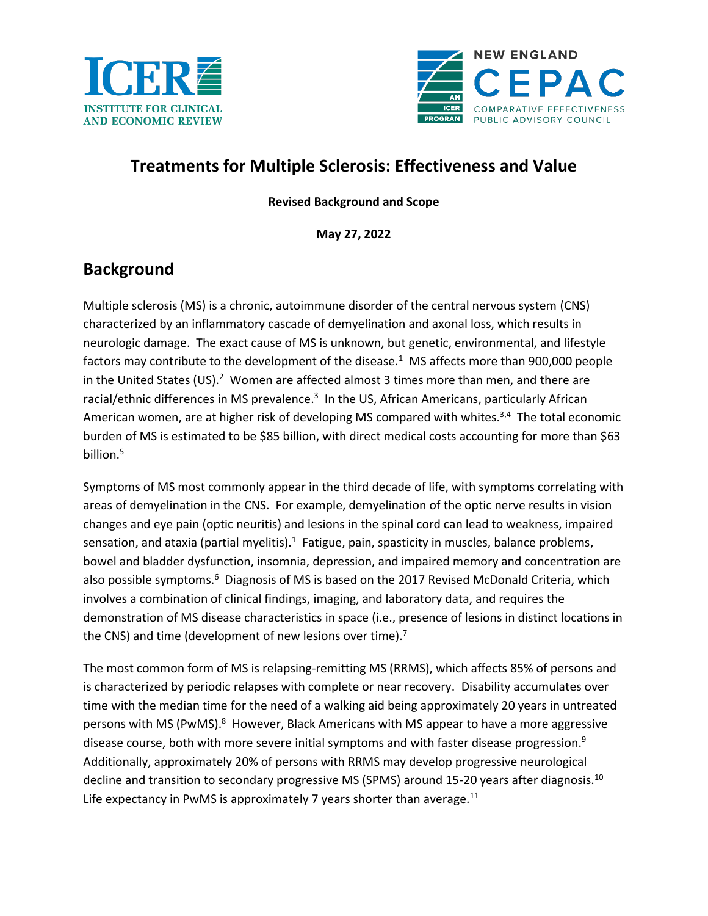



## **Treatments for Multiple Sclerosis: Effectiveness and Value**

**Revised Background and Scope**

**May 27, 2022**

## **Background**

Multiple sclerosis (MS) is a chronic, autoimmune disorder of the central nervous system (CNS) characterized by an inflammatory cascade of demyelination and axonal loss, which results in neurologic damage. The exact cause of MS is unknown, but genetic, environmental, and lifestyle factors may contribute to the development of the disease[.](#page-9-0) $1$  MS affects more than 900,000 people in the United States (US)[.](#page-9-1) $2$  Women are affected almost 3 times more than men, and there are racial/ethnic differences in MS prevalence[.](#page-9-2)<sup>3</sup> In the US, African Americans, particularly African American women, are at higher risk of developing MS compared with whites.<sup>[3](#page-9-2)[,4](#page-9-3)</sup> The total economic burden of MS is estimated to be \$85 billion, with direct medical costs accounting for more than \$63 billion[.](#page-9-4) 5

Symptoms of MS most commonly appear in the third decade of life, with symptoms correlating with areas of demyelination in the CNS. For example, demyelination of the optic nerve results in vision changes and eye pain (optic neuritis) and lesions in the spinal cord can lead to weakness, impaired sensation, and ataxia (partial myelitis). $1$  Fatigue, pain, spasticity in muscles, balance problems, bowel and bladder dysfunction, insomnia, depression, and impaired memory and concentration are also possible symptoms[.](#page-9-5)<sup>6</sup> Diagnosis of MS is based on the 2017 Revised McDonald Criteria, which involves a combination of clinical findings, imaging, and laboratory data, and requires the demonstration of MS disease characteristics in space (i.e., presence of lesions in distinct locations in the CNS) and time (development of new lesions over time).<sup>[7](#page-9-6)</sup>

The most common form of MS is relapsing-remitting MS (RRMS), which affects 85% of persons and is characterized by periodic relapses with complete or near recovery. Disability accumulates over time with the median time for the need of a walking aid being approximately 20 years in untreated persons with MS (PwMS)[.](#page-9-7)<sup>8</sup> However, Black Americans with MS appear to have a more aggressive disease course, both with more severe initial symptoms and with faster disease progression.<sup>[9](#page-9-8)</sup> Additionally, approximately 20% of persons with RRMS may develop progressive neurological decline and transition to secondary progressive MS (SPMS) around 15-20 years after diagnosis.<sup>[10](#page-9-9)</sup> Life expectancy in PwMS is approximately 7 years shorter than average. $^{11}$  $^{11}$  $^{11}$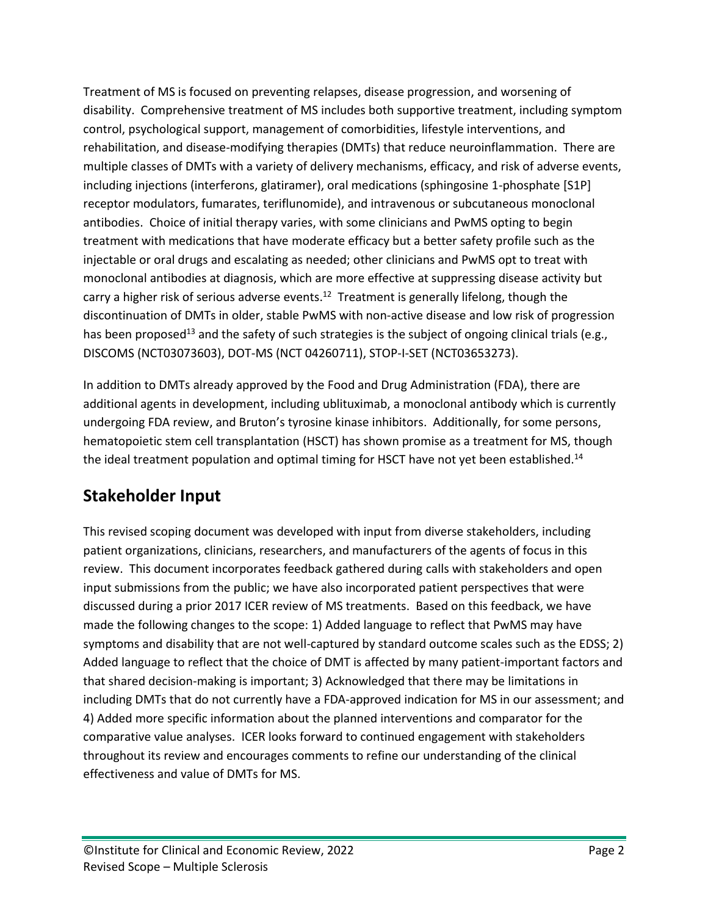Treatment of MS is focused on preventing relapses, disease progression, and worsening of disability. Comprehensive treatment of MS includes both supportive treatment, including symptom control, psychological support, management of comorbidities, lifestyle interventions, and rehabilitation, and disease-modifying therapies (DMTs) that reduce neuroinflammation. There are multiple classes of DMTs with a variety of delivery mechanisms, efficacy, and risk of adverse events, including injections (interferons, glatiramer), oral medications (sphingosine 1-phosphate [S1P] receptor modulators, fumarates, teriflunomide), and intravenous or subcutaneous monoclonal antibodies. Choice of initial therapy varies, with some clinicians and PwMS opting to begin treatment with medications that have moderate efficacy but a better safety profile such as the injectable or oral drugs and escalating as needed; other clinicians and PwMS opt to treat with monoclonal antibodies at diagnosis, which are more effective at suppressing disease activity but carry a higher risk of serious adverse events.<sup>[12](#page-9-11)</sup> Treatment is generally lifelong, though the discontinuation of DMTs in older, stable PwMS with non-active disease and low risk of progression has been proposed<sup>[13](#page-9-12)</sup> and the safety of such strategies is the subject of ongoing clinical trials (e.g., DISCOMS (NCT03073603), DOT-MS (NCT 04260711), STOP-I-SET (NCT03653273).

In addition to DMTs already approved by the Food and Drug Administration (FDA), there are additional agents in development, including ublituximab, a monoclonal antibody which is currently undergoing FDA review, and Bruton's tyrosine kinase inhibitors. Additionally, for some persons, hematopoietic stem cell transplantation (HSCT) has shown promise as a treatment for MS, though the ideal treatment population and optimal timing for HSCT have not yet been established.<sup>14</sup>

# **Stakeholder Input**

This revised scoping document was developed with input from diverse stakeholders, including patient organizations, clinicians, researchers, and manufacturers of the agents of focus in this review. This document incorporates feedback gathered during calls with stakeholders and open input submissions from the public; we have also incorporated patient perspectives that were discussed during a prior 2017 ICER review of MS treatments. Based on this feedback, we have made the following changes to the scope: 1) Added language to reflect that PwMS may have symptoms and disability that are not well-captured by standard outcome scales such as the EDSS; 2) Added language to reflect that the choice of DMT is affected by many patient-important factors and that shared decision-making is important; 3) Acknowledged that there may be limitations in including DMTs that do not currently have a FDA-approved indication for MS in our assessment; and 4) Added more specific information about the planned interventions and comparator for the comparative value analyses. ICER looks forward to continued engagement with stakeholders throughout its review and encourages comments to refine our understanding of the clinical effectiveness and value of DMTs for MS.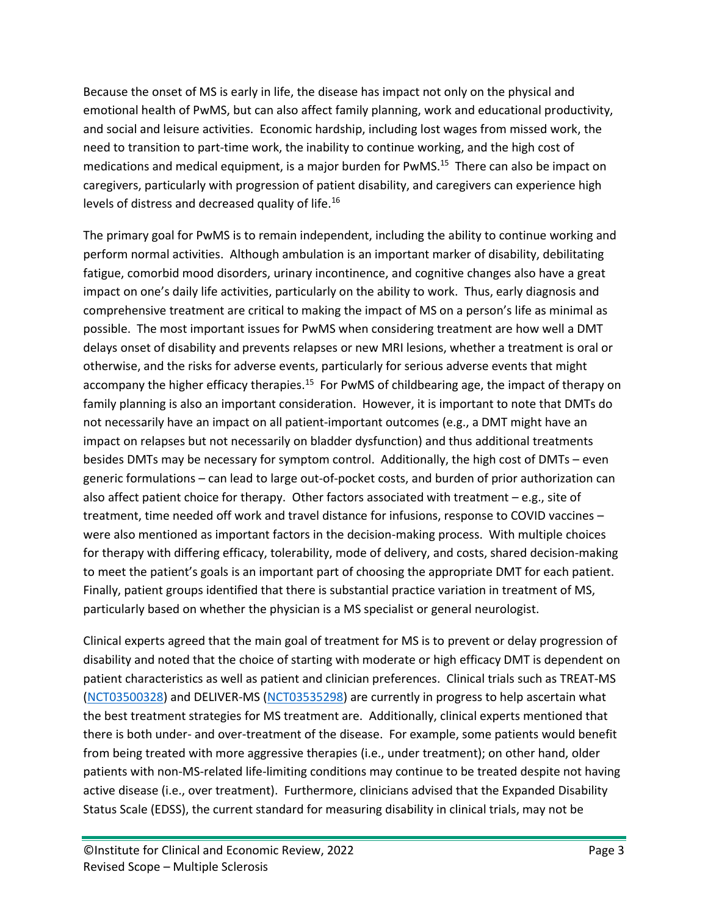Because the onset of MS is early in life, the disease has impact not only on the physical and emotional health of PwMS, but can also affect family planning, work and educational productivity, and social and leisure activities. Economic hardship, including lost wages from missed work, the need to transition to part-time work, the inability to continue working, and the high cost of medications and medical equipment, is a major burden for PwMS.<sup>15</sup> There can also be impact on caregivers, particularly with progression of patient disability, and caregivers can experience high levels of distress and decreased quality of life.<sup>16</sup>

The primary goal for PwMS is to remain independent, including the ability to continue working and perform normal activities. Although ambulation is an important marker of disability, debilitating fatigue, comorbid mood disorders, urinary incontinence, and cognitive changes also have a great impact on one's daily life activities, particularly on the ability to work. Thus, early diagnosis and comprehensive treatment are critical to making the impact of MS on a person's life as minimal as possible. The most important issues for PwMS when considering treatment are how well a DMT delays onset of disability and prevents relapses or new MRI lesions, whether a treatment is oral or otherwise, and the risks for adverse events, particularly for serious adverse events that might accompany the higher efficacy therapies.<sup>15</sup> For PwMS of childbearing age, the impact of therapy on family planning is also an important consideration. However, it is important to note that DMTs do not necessarily have an impact on all patient-important outcomes (e.g., a DMT might have an impact on relapses but not necessarily on bladder dysfunction) and thus additional treatments besides DMTs may be necessary for symptom control. Additionally, the high cost of DMTs – even generic formulations – can lead to large out-of-pocket costs, and burden of prior authorization can also affect patient choice for therapy. Other factors associated with treatment  $-e.g.,$  site of treatment, time needed off work and travel distance for infusions, response to COVID vaccines – were also mentioned as important factors in the decision-making process. With multiple choices for therapy with differing efficacy, tolerability, mode of delivery, and costs, shared decision-making to meet the patient's goals is an important part of choosing the appropriate DMT for each patient. Finally, patient groups identified that there is substantial practice variation in treatment of MS, particularly based on whether the physician is a MS specialist or general neurologist.

Clinical experts agreed that the main goal of treatment for MS is to prevent or delay progression of disability and noted that the choice of starting with moderate or high efficacy DMT is dependent on patient characteristics as well as patient and clinician preferences. Clinical trials such as TREAT-MS [\(NCT03500328\)](http://clinicaltrials.gov/show/NCT03500328) and DELIVER-MS [\(NCT03535298\)](http://clinicaltrials.gov/show/NCT03535298) are currently in progress to help ascertain what the best treatment strategies for MS treatment are. Additionally, clinical experts mentioned that there is both under- and over-treatment of the disease. For example, some patients would benefit from being treated with more aggressive therapies (i.e., under treatment); on other hand, older patients with non-MS-related life-limiting conditions may continue to be treated despite not having active disease (i.e., over treatment). Furthermore, clinicians advised that the Expanded Disability Status Scale (EDSS), the current standard for measuring disability in clinical trials, may not be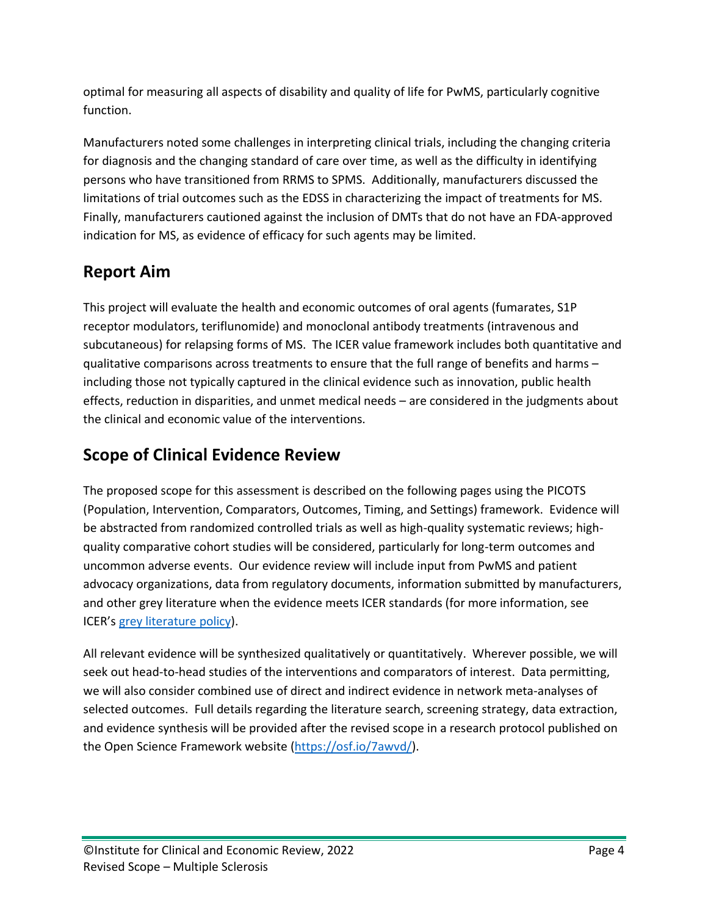optimal for measuring all aspects of disability and quality of life for PwMS, particularly cognitive function.

Manufacturers noted some challenges in interpreting clinical trials, including the changing criteria for diagnosis and the changing standard of care over time, as well as the difficulty in identifying persons who have transitioned from RRMS to SPMS. Additionally, manufacturers discussed the limitations of trial outcomes such as the EDSS in characterizing the impact of treatments for MS. Finally, manufacturers cautioned against the inclusion of DMTs that do not have an FDA-approved indication for MS, as evidence of efficacy for such agents may be limited.

# **Report Aim**

This project will evaluate the health and economic outcomes of oral agents (fumarates, S1P receptor modulators, teriflunomide) and monoclonal antibody treatments (intravenous and subcutaneous) for relapsing forms of MS. The ICER value framework includes both quantitative and qualitative comparisons across treatments to ensure that the full range of benefits and harms – including those not typically captured in the clinical evidence such as innovation, public health effects, reduction in disparities, and unmet medical needs – are considered in the judgments about the clinical and economic value of the interventions.

# **Scope of Clinical Evidence Review**

The proposed scope for this assessment is described on the following pages using the PICOTS (Population, Intervention, Comparators, Outcomes, Timing, and Settings) framework. Evidence will be abstracted from randomized controlled trials as well as high-quality systematic reviews; highquality comparative cohort studies will be considered, particularly for long-term outcomes and uncommon adverse events. Our evidence review will include input from PwMS and patient advocacy organizations, data from regulatory documents, information submitted by manufacturers, and other grey literature when the evidence meets ICER standards (for more information, see ICER's [grey literature policy\)](https://icer.org/policy-on-inclusion-of-grey-literature-in-evidence-reviews/).

All relevant evidence will be synthesized qualitatively or quantitatively. Wherever possible, we will seek out head-to-head studies of the interventions and comparators of interest. Data permitting, we will also consider combined use of direct and indirect evidence in network meta-analyses of selected outcomes. Full details regarding the literature search, screening strategy, data extraction, and evidence synthesis will be provided after the revised scope in a research protocol published on the Open Science Framework website [\(https://osf.io/7awvd/\)](https://osf.io/7awvd/).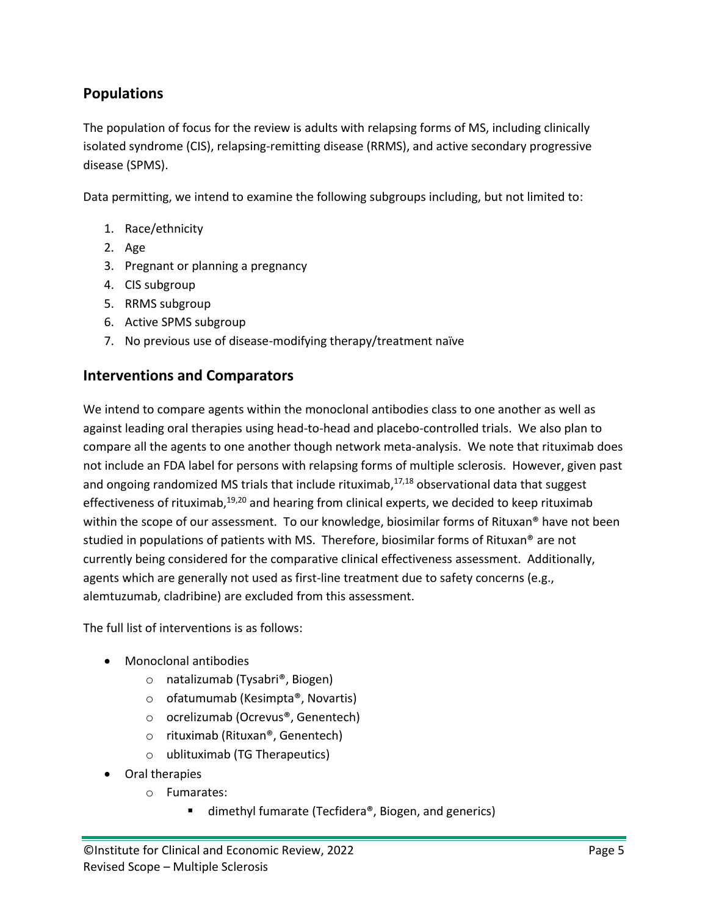## **Populations**

The population of focus for the review is adults with relapsing forms of MS, including clinically isolated syndrome (CIS), relapsing-remitting disease (RRMS), and active secondary progressive disease (SPMS).

Data permitting, we intend to examine the following subgroups including, but not limited to:

- 1. Race/ethnicity
- 2. Age
- 3. Pregnant or planning a pregnancy
- 4. CIS subgroup
- 5. RRMS subgroup
- 6. Active SPMS subgroup
- 7. No previous use of disease-modifying therapy/treatment naïve

#### **Interventions and Comparators**

We intend to compare agents within the monoclonal antibodies class to one another as well as against leading oral therapies using head-to-head and placebo-controlled trials. We also plan to compare all the agents to one another though network meta-analysis. We note that rituximab does not include an FDA label for persons with relapsing forms of multiple sclerosis. However, given past and ongoing randomized MS trials that include rituximab, 17,18 observational data that suggest effectiveness of rituximab,<sup>19,20</sup> and hearing from clinical experts, we decided to keep rituximab within the scope of our assessment. To our knowledge, biosimilar forms of Rituxan® have not been studied in populations of patients with MS. Therefore, biosimilar forms of Rituxan® are not currently being considered for the comparative clinical effectiveness assessment. Additionally, agents which are generally not used as first-line treatment due to safety concerns (e.g., alemtuzumab, cladribine) are excluded from this assessment.

The full list of interventions is as follows:

- Monoclonal antibodies
	- o natalizumab (Tysabri®, Biogen)
	- o ofatumumab (Kesimpta®, Novartis)
	- o ocrelizumab (Ocrevus®, Genentech)
	- o rituximab (Rituxan®, Genentech)
	- o ublituximab (TG Therapeutics)
- Oral therapies
	- o Fumarates:
		- dimethyl fumarate (Tecfidera®, Biogen, and generics)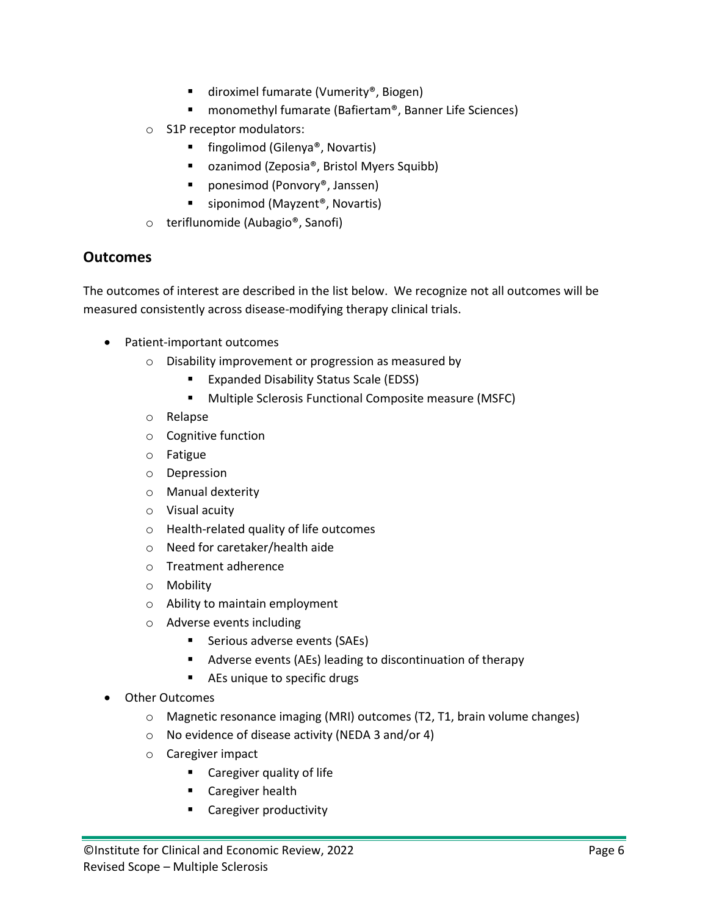- diroximel fumarate (Vumerity®, Biogen)
- monomethyl fumarate (Bafiertam®, Banner Life Sciences)
- o S1P receptor modulators:
	- fingolimod (Gilenya®, Novartis)
	- ozanimod (Zeposia®, Bristol Myers Squibb)
	- ponesimod (Ponvory®, Janssen)
	- siponimod (Mayzent<sup>®</sup>, Novartis)
- o teriflunomide (Aubagio®, Sanofi)

#### **Outcomes**

The outcomes of interest are described in the list below. We recognize not all outcomes will be measured consistently across disease-modifying therapy clinical trials.

- Patient-important outcomes
	- o Disability improvement or progression as measured by
		- Expanded Disability Status Scale (EDSS)
		- Multiple Sclerosis Functional Composite measure (MSFC)
	- o Relapse
	- o Cognitive function
	- o Fatigue
	- o Depression
	- o Manual dexterity
	- o Visual acuity
	- o Health-related quality of life outcomes
	- o Need for caretaker/health aide
	- o Treatment adherence
	- o Mobility
	- o Ability to maintain employment
	- o Adverse events including
		- Serious adverse events (SAEs)
		- Adverse events (AEs) leading to discontinuation of therapy
		- AEs unique to specific drugs
- Other Outcomes
	- o Magnetic resonance imaging (MRI) outcomes (T2, T1, brain volume changes)
	- o No evidence of disease activity (NEDA 3 and/or 4)
	- o Caregiver impact
		- Caregiver quality of life
		- Caregiver health
		- Caregiver productivity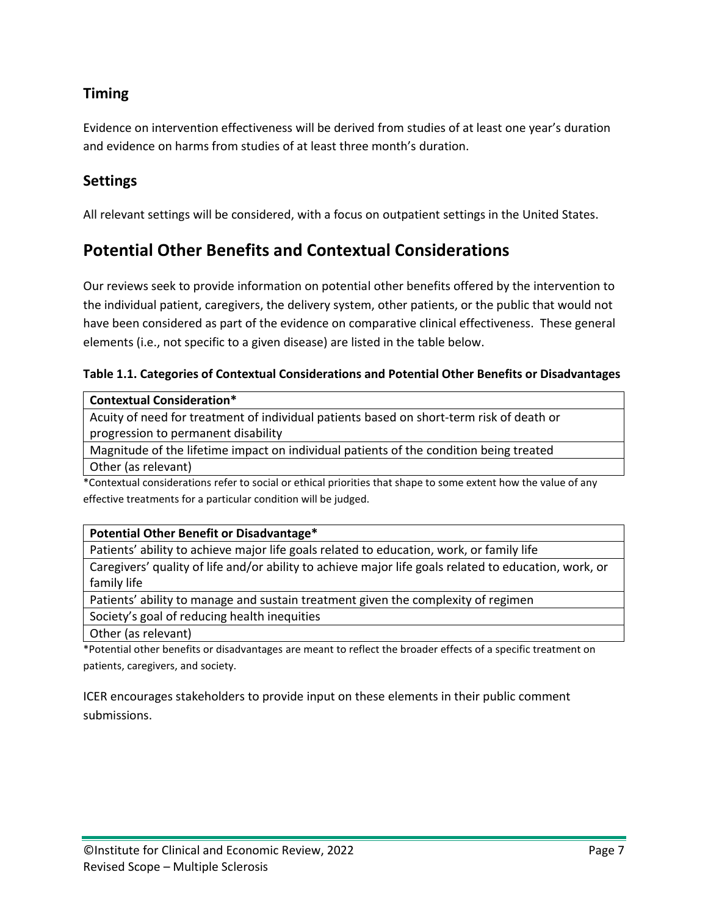## **Timing**

Evidence on intervention effectiveness will be derived from studies of at least one year's duration and evidence on harms from studies of at least three month's duration.

#### **Settings**

All relevant settings will be considered, with a focus on outpatient settings in the United States.

## **Potential Other Benefits and Contextual Considerations**

Our reviews seek to provide information on potential other benefits offered by the intervention to the individual patient, caregivers, the delivery system, other patients, or the public that would not have been considered as part of the evidence on comparative clinical effectiveness. These general elements (i.e., not specific to a given disease) are listed in the table below.

| Table 1.1. Categories of Contextual Considerations and Potential Other Benefits or Disadvantages |  |
|--------------------------------------------------------------------------------------------------|--|
|--------------------------------------------------------------------------------------------------|--|

| <b>Contextual Consideration*</b>                                                         |
|------------------------------------------------------------------------------------------|
| Acuity of need for treatment of individual patients based on short-term risk of death or |
| progression to permanent disability                                                      |
| Magnitude of the lifetime impact on individual patients of the condition being treated   |
| Other (as relevant)                                                                      |

\*Contextual considerations refer to social or ethical priorities that shape to some extent how the value of any effective treatments for a particular condition will be judged.

#### **Potential Other Benefit or Disadvantage\***

Patients' ability to achieve major life goals related to education, work, or family life

Caregivers' quality of life and/or ability to achieve major life goals related to education, work, or family life

Patients' ability to manage and sustain treatment given the complexity of regimen

Society's goal of reducing health inequities

Other (as relevant)

\*Potential other benefits or disadvantages are meant to reflect the broader effects of a specific treatment on patients, caregivers, and society.

ICER encourages stakeholders to provide input on these elements in their public comment submissions.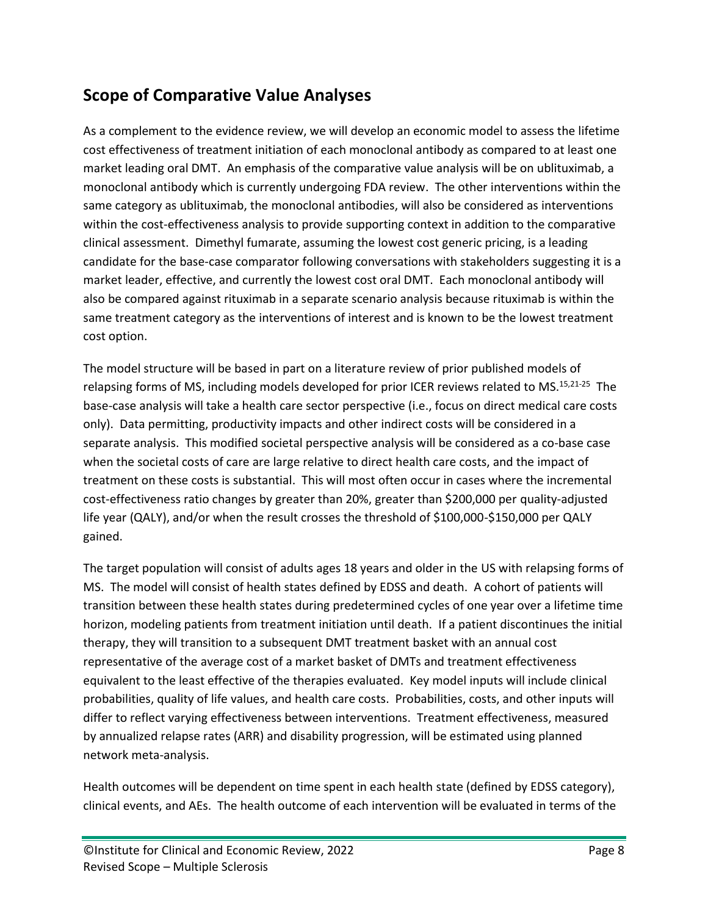## **Scope of Comparative Value Analyses**

As a complement to the evidence review, we will develop an economic model to assess the lifetime cost effectiveness of treatment initiation of each monoclonal antibody as compared to at least one market leading oral DMT. An emphasis of the comparative value analysis will be on ublituximab, a monoclonal antibody which is currently undergoing FDA review. The other interventions within the same category as ublituximab, the monoclonal antibodies, will also be considered as interventions within the cost-effectiveness analysis to provide supporting context in addition to the comparative clinical assessment. Dimethyl fumarate, assuming the lowest cost generic pricing, is a leading candidate for the base-case comparator following conversations with stakeholders suggesting it is a market leader, effective, and currently the lowest cost oral DMT. Each monoclonal antibody will also be compared against rituximab in a separate scenario analysis because rituximab is within the same treatment category as the interventions of interest and is known to be the lowest treatment cost option.

The model structure will be based in part on a literature review of prior published models of relapsing forms of MS, including models developed for prior ICER reviews related to MS.<sup>15,21-25</sup> The base-case analysis will take a health care sector perspective (i.e., focus on direct medical care costs only). Data permitting, productivity impacts and other indirect costs will be considered in a separate analysis. This modified societal perspective analysis will be considered as a co-base case when the societal costs of care are large relative to direct health care costs, and the impact of treatment on these costs is substantial. This will most often occur in cases where the incremental cost-effectiveness ratio changes by greater than 20%, greater than \$200,000 per quality-adjusted life year (QALY), and/or when the result crosses the threshold of \$100,000-\$150,000 per QALY gained.

The target population will consist of adults ages 18 years and older in the US with relapsing forms of MS. The model will consist of health states defined by EDSS and death. A cohort of patients will transition between these health states during predetermined cycles of one year over a lifetime time horizon, modeling patients from treatment initiation until death. If a patient discontinues the initial therapy, they will transition to a subsequent DMT treatment basket with an annual cost representative of the average cost of a market basket of DMTs and treatment effectiveness equivalent to the least effective of the therapies evaluated. Key model inputs will include clinical probabilities, quality of life values, and health care costs. Probabilities, costs, and other inputs will differ to reflect varying effectiveness between interventions. Treatment effectiveness, measured by annualized relapse rates (ARR) and disability progression, will be estimated using planned network meta-analysis.

Health outcomes will be dependent on time spent in each health state (defined by EDSS category), clinical events, and AEs. The health outcome of each intervention will be evaluated in terms of the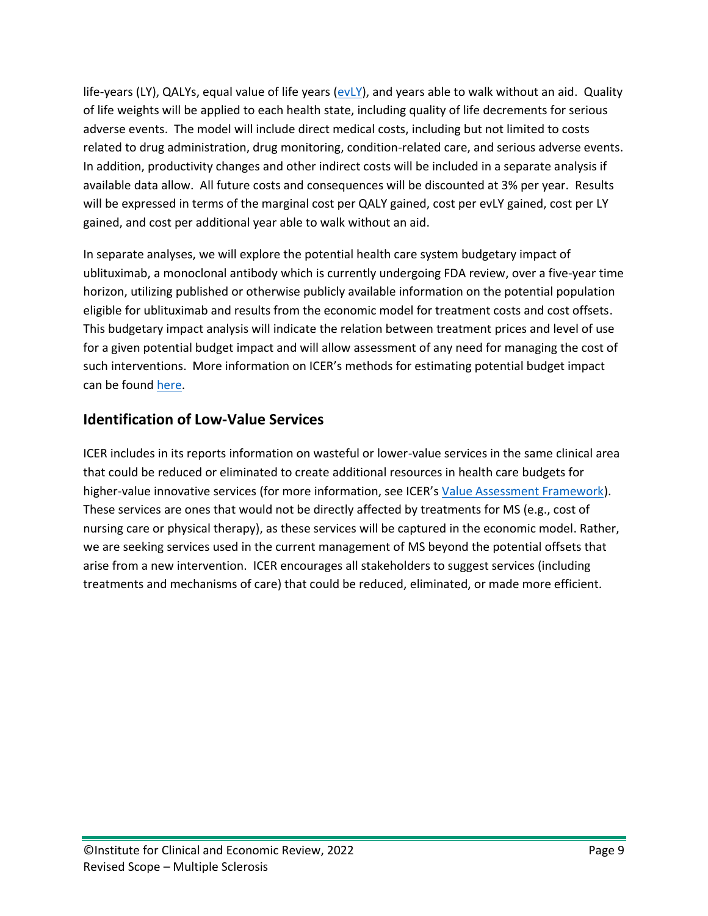life-years (LY), QALYs, equal value of life years  $(evLY)$ , and years able to walk without an aid. Quality of life weights will be applied to each health state, including quality of life decrements for serious adverse events. The model will include direct medical costs, including but not limited to costs related to drug administration, drug monitoring, condition-related care, and serious adverse events. In addition, productivity changes and other indirect costs will be included in a separate analysis if available data allow. All future costs and consequences will be discounted at 3% per year. Results will be expressed in terms of the marginal cost per QALY gained, cost per evLY gained, cost per LY gained, and cost per additional year able to walk without an aid.

In separate analyses, we will explore the potential health care system budgetary impact of ublituximab, a monoclonal antibody which is currently undergoing FDA review, over a five-year time horizon, utilizing published or otherwise publicly available information on the potential population eligible for ublituximab and results from the economic model for treatment costs and cost offsets. This budgetary impact analysis will indicate the relation between treatment prices and level of use for a given potential budget impact and will allow assessment of any need for managing the cost of such interventions. More information on ICER's methods for estimating potential budget impact can be foun[d here.](https://icer.org/wp-content/uploads/2021/03/ICER_2020_2023_VAF_013120-4-2.pdf)

#### **Identification of Low-Value Services**

ICER includes in its reports information on wasteful or lower-value services in the same clinical area that could be reduced or eliminated to create additional resources in health care budgets for higher-value innovative services (for more information, see ICER's [Value Assessment Framework\)](https://icer.org/wp-content/uploads/2021/03/ICER_2020_2023_VAF_013120-4-2.pdf). These services are ones that would not be directly affected by treatments for MS (e.g., cost of nursing care or physical therapy), as these services will be captured in the economic model. Rather, we are seeking services used in the current management of MS beyond the potential offsets that arise from a new intervention. ICER encourages all stakeholders to suggest services (including treatments and mechanisms of care) that could be reduced, eliminated, or made more efficient.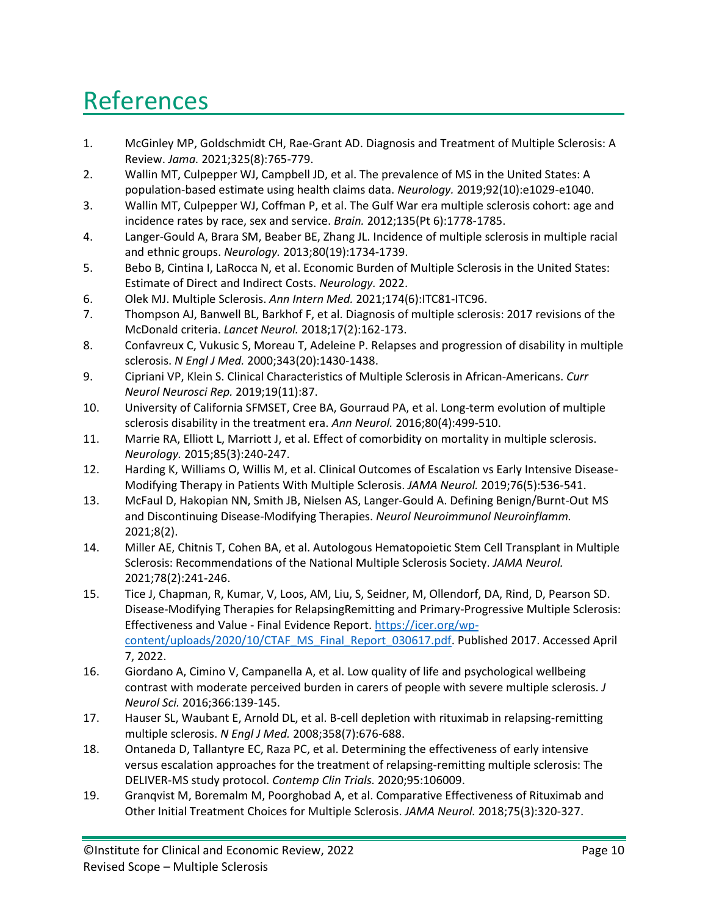# **References**

- <span id="page-9-0"></span>1. McGinley MP, Goldschmidt CH, Rae-Grant AD. Diagnosis and Treatment of Multiple Sclerosis: A Review. *Jama.* 2021;325(8):765-779.
- <span id="page-9-1"></span>2. Wallin MT, Culpepper WJ, Campbell JD, et al. The prevalence of MS in the United States: A population-based estimate using health claims data. *Neurology.* 2019;92(10):e1029-e1040.
- <span id="page-9-2"></span>3. Wallin MT, Culpepper WJ, Coffman P, et al. The Gulf War era multiple sclerosis cohort: age and incidence rates by race, sex and service. *Brain.* 2012;135(Pt 6):1778-1785.
- <span id="page-9-3"></span>4. Langer-Gould A, Brara SM, Beaber BE, Zhang JL. Incidence of multiple sclerosis in multiple racial and ethnic groups. *Neurology.* 2013;80(19):1734-1739.
- <span id="page-9-4"></span>5. Bebo B, Cintina I, LaRocca N, et al. Economic Burden of Multiple Sclerosis in the United States: Estimate of Direct and Indirect Costs. *Neurology.* 2022.
- <span id="page-9-5"></span>6. Olek MJ. Multiple Sclerosis. *Ann Intern Med.* 2021;174(6):ITC81-ITC96.
- <span id="page-9-6"></span>7. Thompson AJ, Banwell BL, Barkhof F, et al. Diagnosis of multiple sclerosis: 2017 revisions of the McDonald criteria. *Lancet Neurol.* 2018;17(2):162-173.
- <span id="page-9-7"></span>8. Confavreux C, Vukusic S, Moreau T, Adeleine P. Relapses and progression of disability in multiple sclerosis. *N Engl J Med.* 2000;343(20):1430-1438.
- <span id="page-9-8"></span>9. Cipriani VP, Klein S. Clinical Characteristics of Multiple Sclerosis in African-Americans. *Curr Neurol Neurosci Rep.* 2019;19(11):87.
- <span id="page-9-9"></span>10. University of California SFMSET, Cree BA, Gourraud PA, et al. Long-term evolution of multiple sclerosis disability in the treatment era. *Ann Neurol.* 2016;80(4):499-510.
- <span id="page-9-10"></span>11. Marrie RA, Elliott L, Marriott J, et al. Effect of comorbidity on mortality in multiple sclerosis. *Neurology.* 2015;85(3):240-247.
- <span id="page-9-11"></span>12. Harding K, Williams O, Willis M, et al. Clinical Outcomes of Escalation vs Early Intensive Disease-Modifying Therapy in Patients With Multiple Sclerosis. *JAMA Neurol.* 2019;76(5):536-541.
- <span id="page-9-12"></span>13. McFaul D, Hakopian NN, Smith JB, Nielsen AS, Langer-Gould A. Defining Benign/Burnt-Out MS and Discontinuing Disease-Modifying Therapies. *Neurol Neuroimmunol Neuroinflamm.*  2021;8(2).
- 14. Miller AE, Chitnis T, Cohen BA, et al. Autologous Hematopoietic Stem Cell Transplant in Multiple Sclerosis: Recommendations of the National Multiple Sclerosis Society. *JAMA Neurol.*  2021;78(2):241-246.
- 15. Tice J, Chapman, R, Kumar, V, Loos, AM, Liu, S, Seidner, M, Ollendorf, DA, Rind, D, Pearson SD. Disease-Modifying Therapies for RelapsingRemitting and Primary-Progressive Multiple Sclerosis: Effectiveness and Value - Final Evidence Report. [https://icer.org/wp](https://icer.org/wp-content/uploads/2020/10/CTAF_MS_Final_Report_030617.pdf)[content/uploads/2020/10/CTAF\\_MS\\_Final\\_Report\\_030617.pdf.](https://icer.org/wp-content/uploads/2020/10/CTAF_MS_Final_Report_030617.pdf) Published 2017. Accessed April 7, 2022.
- 16. Giordano A, Cimino V, Campanella A, et al. Low quality of life and psychological wellbeing contrast with moderate perceived burden in carers of people with severe multiple sclerosis. *J Neurol Sci.* 2016;366:139-145.
- 17. Hauser SL, Waubant E, Arnold DL, et al. B-cell depletion with rituximab in relapsing-remitting multiple sclerosis. *N Engl J Med.* 2008;358(7):676-688.
- 18. Ontaneda D, Tallantyre EC, Raza PC, et al. Determining the effectiveness of early intensive versus escalation approaches for the treatment of relapsing-remitting multiple sclerosis: The DELIVER-MS study protocol. *Contemp Clin Trials.* 2020;95:106009.
- 19. Granqvist M, Boremalm M, Poorghobad A, et al. Comparative Effectiveness of Rituximab and Other Initial Treatment Choices for Multiple Sclerosis. *JAMA Neurol.* 2018;75(3):320-327.